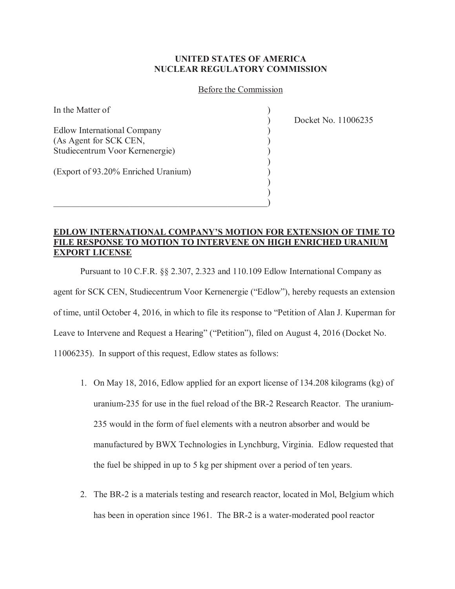## **UNITED STATES OF AMERICA NUCLEAR REGULATORY COMMISSION**

## Before the Commission

In the Matter of Edlow International Company ) (As Agent for SCK CEN, ) Studiecentrum Voor Kernenergie) )  $)$ (Export of 93.20% Enriched Uranium) )  $)$ 

 $)$  $\hspace{.5em}$   $\hspace{.5em}$   $\hspace{.5em}$   $\hspace{.5em}$   $\hspace{.5em}$   $\hspace{.5em}$   $\hspace{.5em}$   $\hspace{.5em}$   $\hspace{.5em}$   $\hspace{.5em}$   $\hspace{.5em}$   $\hspace{.5em}$   $\hspace{.5em}$   $\hspace{.5em}$   $\hspace{.5em}$   $\hspace{.5em}$   $\hspace{.5em}$   $\hspace{.5em}$   $\hspace{.5em}$   $\hspace{.5em}$ 

) Docket No. 11006235

## **EDLOW INTERNATIONAL COMPANY'S MOTION FOR EXTENSION OF TIME TO FILE RESPONSE TO MOTION TO INTERVENE ON HIGH ENRICHED URANIUM EXPORT LICENSE**

Pursuant to 10 C.F.R. §§ 2.307, 2.323 and 110.109 Edlow International Company as agent for SCK CEN, Studiecentrum Voor Kernenergie ("Edlow"), hereby requests an extension of time, until October 4, 2016, in which to file its response to "Petition of Alan J. Kuperman for Leave to Intervene and Request a Hearing" ("Petition"), filed on August 4, 2016 (Docket No. 11006235). In support of this request, Edlow states as follows:

- 1. On May 18, 2016, Edlow applied for an export license of 134.208 kilograms (kg) of uranium-235 for use in the fuel reload of the BR-2 Research Reactor. The uranium-235 would in the form of fuel elements with a neutron absorber and would be manufactured by BWX Technologies in Lynchburg, Virginia. Edlow requested that the fuel be shipped in up to 5 kg per shipment over a period of ten years.
- 2. The BR-2 is a materials testing and research reactor, located in Mol, Belgium which has been in operation since 1961. The BR-2 is a water-moderated pool reactor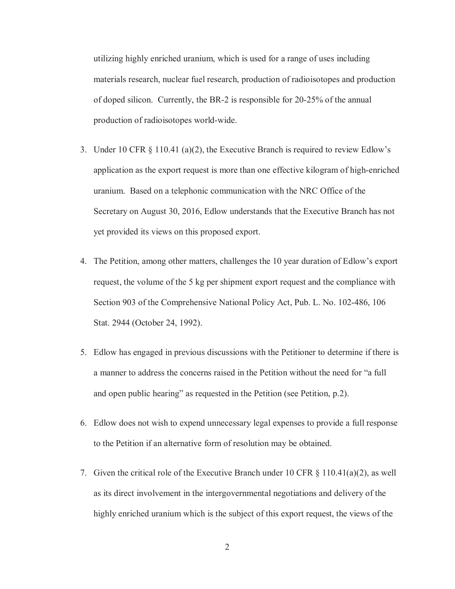utilizing highly enriched uranium, which is used for a range of uses including materials research, nuclear fuel research, production of radioisotopes and production of doped silicon. Currently, the BR-2 is responsible for 20-25% of the annual production of radioisotopes world-wide.

- 3. Under 10 CFR  $\S$  110.41 (a)(2), the Executive Branch is required to review Edlow's application as the export request is more than one effective kilogram of high-enriched uranium. Based on a telephonic communication with the NRC Office of the Secretary on August 30, 2016, Edlow understands that the Executive Branch has not yet provided its views on this proposed export.
- 4. The Petition, among other matters, challenges the 10 year duration of Edlow's export request, the volume of the 5 kg per shipment export request and the compliance with Section 903 of the Comprehensive National Policy Act, Pub. L. No. 102-486, 106 Stat. 2944 (October 24, 1992).
- 5. Edlow has engaged in previous discussions with the Petitioner to determine if there is a manner to address the concerns raised in the Petition without the need for "a full and open public hearing" as requested in the Petition (see Petition, p.2).
- 6. Edlow does not wish to expend unnecessary legal expenses to provide a full response to the Petition if an alternative form of resolution may be obtained.
- 7. Given the critical role of the Executive Branch under 10 CFR  $\S$  110.41(a)(2), as well as its direct involvement in the intergovernmental negotiations and delivery of the highly enriched uranium which is the subject of this export request, the views of the